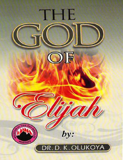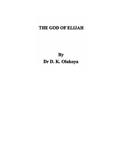# THE GOD OF ELIJAH

 $\langle \phi \rangle = \langle \phi \rangle = \langle \phi \rangle = \langle \phi \rangle$ 

 $\mathbf{By}$ Dr D. K. Olukoya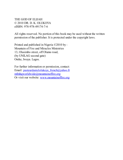<span id="page-2-0"></span>THE GOD OF ELIJAH © 2010 DR. D. K. OLUKOYA eISBN: 978-978-49174-7-6

All rights reserved. No portion of this book may be used without the written permission of the publisher. It is protected under the copyright laws.

Printed and published in Nigeria ©2010 by : Mountain of Fire and Miracles Ministries 13, Olasimbo street, off Olumo road, (by UNILAG second gate) Onike, Iwaya. Lagos.

For further information or permission, contact: Email: [pasteurdanielolukoya\\_french@yahoo.fr](mailto:pasteurdanielolukoya_french@yahoo.fr) [mfmhqworldwide@mountainoffire.org](mailto:mfmhqworldwide@mountainoffire.org) Or visit our website: [www.mountainoffire.org](http://www.mountainoffire.org)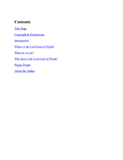## **Contents**

Title [Page](#page-1-0)

Copyright & [Permissions](#page-2-0)

**[Introduction](#page-4-0)** 

Where is the Lord God of [Elijah?](#page-5-0)

[What](#page-10-0) do we do?

Who then is the Lord God of [Elijah?](#page-11-0)

**[Prayer](#page-13-0) Points** 

About the [Author](#page-14-0)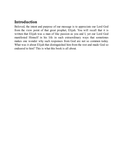# <span id="page-4-0"></span>**Introduction**

Beloved, the intent and purpose of our message is to appreciate our Lord God from the view point of that great prophet, Elijah. You will recall that it is written that Elijah was a man of like passion as you and I, yet our Lord God manifested Himself in his life in such extraordinary ways that sometimes makes one wonder why such responses from God are not so common today. What was it about Elijah that distinguished him from the rest and made God so endeared to him? This is what this book is all about.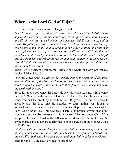# <span id="page-5-0"></span>**Where is the Lord God of Elijah?**

Our first scripture is taken from 2 Kings 2:11-14,

*"And it came to pass as they still went on and talked that behold, there appeared a chariot of fire and horses of fire and parted them both asunder and Elijah went up by a whirlwind into heaven: And Elisha saw it, and he cried, My father, my father, the chariot of Israel and the horsemen thereof: And he saw him no more: and he took hold of his own clothes, and rent them in two pieces. He took up also the mantle of Elijah that fell from him and went back, and stood by the bank of Jordan. And he took the mantle of Elijah that fell from him and smote the waters and said "Where is the Lord God of Elijah?" And when he also had smitten the waters, they parted hither and thither and Elisha went over."*

There is a significant position for Elijah in the whole of God's programme. Look at Malachi 4:5-6

*"Behold, I will send you Elijah the Prophet before the coming of the great and dreadful day of the Lord. And he shall turn the heart of the fathers to the children and the heart of the children to their fathers, lest I come and smite the earth with a curse."*

So, if Elijah did not come, the Lord said He will smite the earth with a curse. Luke I: 5-30 tells us the wonderful story of John the Baptist; the way he was conceived and the prophecy about him. For 400 years, God did not speak to anybody and the first time He decided to start talking was through a tremendous and wonderful man called John the Baptist, a fore-runner of the Lord Jesus Christ. The Bible says that "There is no prophet greater than him." How can a prophet be greater than a fore runner of the Lord Jesus Christ? It is not possible. Jesus Christ is the fullness of the divine revelation to man. So anybody that came to advertise Him has to be the greatest of the prophets. Luke 1: 12-13 says,

*''And when Zacharias saw him, he was troubled and fear fell upon him. But the angel said unto him. Fear not, Zacharias: for thy prayer is heard; and thy wife Elizabeth shall bear thee a son, and thou shalt call his name John."* Then in verse 14, He gave a wonderful prophecy;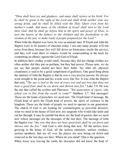*"Thou shall have joy and gladness: and many shall rejoice at his birth. For he shall be great in the sight of the Lord and shall drink neither wine nor strong drink, and he shall be filled with the Holy Ghost even from his mother's womb. And many of the children of Israel shall turn to the Lord their God. And he shall go before him in the spirit and power of Elias, to turn the hearts of the fathers to the children and the disobedient to the wisdom of the just; to make ready d people prepared for the Lord."*

When John the Baptist was born, he was an unusual man. If Elijah and John the Baptist were to be pastors of churches today, I am sure many people will run away from them, because fire will fall down on fornicators inside the service, and they will roast there or sinners would be somersaulting at the back for committing an offence against the Lord God of Elijah.

In addition their clothes would smell, because they did not change clothes too often neither did they put on perfume, but they had power. Please note, we do not say that people should not have their baths. No, after all, physical cleanliness is said to be a good compliment of godliness. One good thing about the ministry of John the Baptist is that he was a very precise person. He always went straight to the point and his words were like fire. It was John the Baptist that said, "*The axe is laid to the root of every tree and any tree that does not bear a good fruit shall be cut down and thrown into fire."* Luke 3:9. He was the one that called the scribes and Pharisees. *"You generation of vipers, who asked you to flee from the wrath to come?"* Matthew 3:7. Hot messages! Those are the kinds of preachers we need now. The Elijah kind of message, the Elijah kind of spirit the Elijah kind of power; the spirit of violence in the kingdom. Those are the kinds of people we need to operate in our generation. The church of God is not looking for cosmetologists or powerful dressers, what we need in the house of God now, are surgeons who would take knife and cut her through. It may be painful but these are the kind of pastors that we need now whose messages are the messages of the last days. The message of John the Baptist was *"Any tree that does not bear good fruit shall be cut down and thrown into the fire."* And God is still doing that now. All the useless trees growing in the house of God, all the useless ministers, useless workers, useless members, that are all over the places are now being cut down and removed as the last days are here. Where do you stand? That is the question. When Jesus was leaving the earth, his disciples did not know the kind of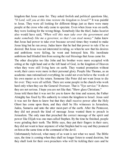kingdom that Jesus came for. They asked foolish and political questions like, *"O Lord, will you at this time restore the kingdom to Israel?"* It was painful to Jesus. They were all looking for different things just as there were many people at the cross who only came to spectate. Even when Jesus was on earth, they were looking for the wrong things. Somebody like the thief, Judas Iscariot also would have said, *"When will this man take over the government and make somebody like me a governor, so that I can steal money.*" Judas knew that Jesus had power to take over because several times they wanted to make Jesus king but he ran away. Judas knew that he had that power to rule if he so desired. But Jesus was not interested in ruling, so when he saw that his desires and ambitions were failing, he went and betrayed him. His inordinate ambitions had blinded him from seeing the real blessings that Jesus came for.

The other disciples too like John and his brother were more occupied with sitting at the right hand and at the left hand of God, in the kingdom of Heaven when they were still living here on earth. They wanted promotion without work; their cares were more in their personal glory. People like Thomas, as an academic man rationalised everything; he could not even believe the words of his own master as to his return. Someone like Peter did not want Jesus to die for ever: They were all selfish. There are some people in the church who work hard only when they see the General Overseer. That is "Eye service." It shows they are not serious. I hope you are not like that; "Show glass Christians."

Jesus told them that it was not for you to know the time and season, the Father Almighty has fixed by His authority to return the kingdom to Israel. Jesus said it was not for them to know but that they shall receive power after the Holy Ghost has come upon them, and they shall be His witnesses in Jerusalem, Judea, Samaria and unto the utter most-part of the earth. After the Pentecost, they did not preach the kind of message Jesus wanted them to preach in Jerusalem. The only man that preached the correct message of the spirit and power like Elijah was one man called Stephen. By the time he finished, people were grinding their teeth. The Bible says, they put their fingers in their ears; they did not want to hear anymore of what Stephen had to say and they pounced on him at the same time at the command of the devil.

Unfortunately beloved, what many of us want is not what we need. The Bible says, the time is coming when they shall no longer listen to sound doctrine, but they shall look for their own preachers who will be tickling their ears and be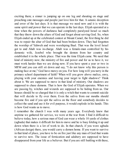exciting them; a sinner is jumping up on one leg and shouting on stage and preaching cute messages and people just love him for that. A satanic deception and error of the last days. It is that message we need now and it is with the same spirit and power that we can operate in the last days. Elijah operated at a time when the powers of darkness had completely paralyzed Israel so much that they threw down the altars of God and forgot about serving God. So, when Elijah ended up at the celebrated contest at Mount Camel, the first thing he did was to repair the altar of God that had been broken down. They had forgotten the worship of Yahweh and were worshiping Baal. That was the level Israel got to and Ahab was in-charge. Ahab was a female-man controlled by his demonic wife, Jezebel who brought the demon from her country and established it in the whole place. That was the time Elijah came. We need that kind of ministry now; the ministry of fire and power and for us to have it, we must work harder than we are doing now. If you have spent a year or two in MFM and you can still sit down and say, "I do not know why this person is making face at me," God have mercy on you. For how long will you tarry in the primary school department of faith? When will you grow above malice, envy, playing with your enemies and leaving your target to fight shadows? Think about it. We are supposed to move in that kind of ministry. Our shadows are supposed to chase demons. That is how the God of Elijah operates. When we are passing by, witches and wizards are supposed to be hiding from us. Our houses should be so charged that it is only a witch that wants to commit suicide that will decide to fly over them. Even the saliva from our mouths should become fire and if you spit the saliva on the floor and somebody decides to collect the sand and use it for evil purpose, it would explode in his hands. This is how God wants us to move.

I remember the church I was with many years ago. Everybody knew that anytime we gathered for service, we were at the war front. I find it difficult to believe today, how a serious man of God can wear a whole 10 yards of clothes (agbada) that makes it difficult for him to move and he is busy folding it up and down when there is a lot of work to do. In that church, if you wore agbada (African design) there, you would carry a demon home. If you want to survive in that kind of place, you have to be on fire just like any man of God that wants to survive now. The issue of fornication and adultery are supposed to have disappeared from your life as a believer. But if you are still battling with these,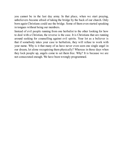you cannot be in the last day army. In that place, when we start praying, unbelievers became afraid of taking the bridge by the back of our church. Only born again Christians could use the bridge. Some of them even started speaking in tongues without being our members.

Instead of evil people running from one herbalist to the other looking for how to deal with a Christian, the reverse is the case. It is Christians that are running around seeking for counselling against evil spirits. Your lot as a believer is that if somebody takes your case to herbalists, they will refuse to work with your name. Why is it that many of us have never even seen one single angel in our dream, let alone recognising them physically? Whereas in those days when they lock people up, angels come to set them free. Why? It is because we are not consecrated enough. We have been wrongly programmed.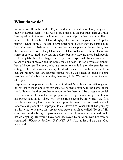#### <span id="page-10-0"></span>**What do we do?**

We need to call on the God of Elijah. And when we call upon Him, things will begin to happen. Many of us need to be touched a second time. That you have been speaking in tongues for five years will not help you. You need to collect a new fire. Let fresh fire of the Almighty start to burn in your life. Drop the primary school things. The Bible says some people when they are supposed to be adults, are still babies. At such time they are supposed to be teachers, they themselves need to be taught the basics of the doctrine of Christ. There are some of us who used to be healthy before, but now they are sick. Such people still carry tablets in their bags when they come to spiritual clinics. Some used to see visions of heaven and the Lord Jesus but now it is bad dreams or slender beautiful women. Believers who are meant to vomit fire on the enemies are eating in their dreams and seeing the dead. Some used to hear music from heaven; but now they are hearing strange noises. God used to speak to some people clearly before but now they hear very little. We need to call on the God of Elijah.

Elijah was an important prophet in the Old and New Testament. Although we do not know much about his parents, yet he made history in the name of the Lord. He was the first prophet to announce that there will be drought to punish God's enemies. He was the first prophet to lock up heaven and put the key in his pocket and said, "There will be no rain except by my word;" the first prophet to multiply food, raise the dead, pray for immediate rain, write a death letter to a king and the first prophet to call down fire. When Elijah had gone by a whirlwind to heaven, his servant was stuck at a place called "Jordan." He could not build a bridge to pass nor swim over. He was in trouble and could not do anything. He would have been destroyed by wild animals but then he screamed, *"Where is the Lord God of Elijah?"* And as he did that, that God answered.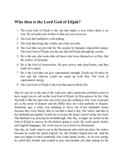#### <span id="page-11-0"></span>**Who then is the Lord God of Elijah?**

- 1. The Lord God of Elijah is the one that makes a way where there is no way. He can path your Jordan so that you can crossover.
- 2. The God that multiplies with nothing.
- 3. The God that brings the visible out of the invisible.
- 4. The God that can provide for His people by humanly impossible means. The Lord God of Elijah was the one that fed Elijah through the ravens.
- 5. He is the one who looks after all those who loose themselves in Him, like the widow of Zarephat.
- 6. He is the God of resurrection. He gave power unto dead bones, and they came alive again.
- 7. He is the Lord that can give supernatural strength. Elijah ran 30 miles by feet and the chariots could not catch up with him. The Lord of supernatural energy.
- 8. The Lord God of Elijah is the God that answereth by fire.

May be you are at the end of the road now and a particular problem seems to have caged you in, call on the Lord God of Elijah, let Him answer by fire. One big truth is that the man who can really pray has nothing to fear. Lots of people are at the point of despair and the Bible does not want anybody to despair. Sometime ago, a sister was planning to move out of her husband's house because they were barely able to eat half a meal a day. Her salary and that of her husband put together would not even pay the house rent let alone buy food. The husband was praying for breakthrough. One day, in anger, he called on the God of Elijah to answer by fire before going to work. He could speak Arabic and English languages. His work was to serve food in a Restaurant.

One day, an Arab came to eat in the Restaurant and could not place his orders because he could not speak English. So, this brother helped him out. And the man was happy to meet somebody who could speak Arabic. As he was eating, he called this brother and wanted to give him another job after asking for his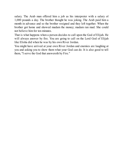salary. The Arab man offered him a job as his interpreter with a salary of 1,000 pounds a day. The brother thought he was joking. The Arab paid him a month in advance and so the brother resigned and they left together. When the brother got home and showed madam the money; madam ran mad. She could not believe him for ten minutes.

That is what happens when a person decides to call upon the God of Elijah. He will always answer by fire. You are going to call on the Lord God of Elijah like Elisha did when he was by his own River Jordan.

You might have arrived at your own River Jordan and enemies are laughing at you and asking you to show them what your God can do. It is also good to tell them, "I serve the God that answereth by Fire."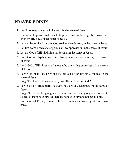# <span id="page-13-0"></span>**PRAYER POINTS**

- 1. I will not reap any satanic harvest, in the name of Jesus.
- 2. Untouchable power, indestructible power and unchallengeable power fall upon my life now, in the name of Jesus.
- 3. Let the fire of the Almighty God soak my hands now, in the name of Jesus.
- 4. Let fire come down and suppress all my oppressors, in the name of Jesus.
- 5. Let the God of Elijah divide my Jordan, in the name of Jesus.
- 6. Lord God of Elijah, convert my disappointments to miracles, in the name of Jesus.
- 7. Lord God of Elijah, sack all those who are sitting on my seat, in the name of Jesus.
- 8. Lord God of Elijah, bring the visible out of the invisible for me, in the name of Jesus.

Sing "The God that answereth by fire, He will be my God."

9. Lord God of Elijah, paralyse every household wickedness in the name of Jesus.

Sing, "Let there be glory, and honour and praises, glory and honour to Jesus, let there be glory, let there be honour, glory and honour to Him."

10. Lord God of Elijah, remove inherited limitations from my life, in Jesus' name.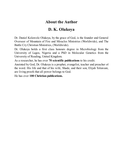## **About the Author**

# **D. K. Olukoya**

<span id="page-14-0"></span>Dr. Daniel Kolawole Olukoya, by the grace of God, is the founder and General Overseer of Mountain of Fire and Miracles Ministries (Worldwide), and The Battle Cry Christian Ministries, (Worldwide).

Dr. Olukoya holds a first class honours degree in Microbiology from the University of Lagos, Nigeria and a PhD in Molecular Genetics from the University of Reading, United Kingdom.

As a researcher, he has over **70 scientific publications** to his credit.

Anointed by God, Dr. Olukoya is a prophet, evangelist, teacher and preacher of the word. His life and that of his wife, Shade, and their son, Elijah Toluwani, are living proofs that all power belongs to God.

He has over **100 Christian publications.**